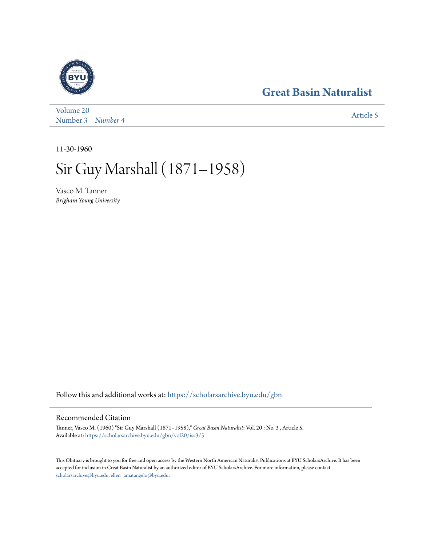## **[Great Basin Naturalist](https://scholarsarchive.byu.edu/gbn?utm_source=scholarsarchive.byu.edu%2Fgbn%2Fvol20%2Fiss3%2F5&utm_medium=PDF&utm_campaign=PDFCoverPages)**



[Volume 20](https://scholarsarchive.byu.edu/gbn/vol20?utm_source=scholarsarchive.byu.edu%2Fgbn%2Fvol20%2Fiss3%2F5&utm_medium=PDF&utm_campaign=PDFCoverPages) Number 3 [– Number 4](https://scholarsarchive.byu.edu/gbn/vol20/iss3?utm_source=scholarsarchive.byu.edu%2Fgbn%2Fvol20%2Fiss3%2F5&utm_medium=PDF&utm_campaign=PDFCoverPages) and 1980 and 1980 and 1980 and 1980 and 1980 and 1980 and 1980 and 1980 and 1980 and 1980 and 1980 and 1980 and 1980 and 1980 and 1980 and 1980 and 1980 and 1980 and 1980 and 1980 and 1980 and 1980 and

11-30-1960

## Sir Guy Marshall (1871–1958)

Vasco M. Tanner *Brigham Young University*

Follow this and additional works at: [https://scholarsarchive.byu.edu/gbn](https://scholarsarchive.byu.edu/gbn?utm_source=scholarsarchive.byu.edu%2Fgbn%2Fvol20%2Fiss3%2F5&utm_medium=PDF&utm_campaign=PDFCoverPages)

## Recommended Citation

Tanner, Vasco M. (1960) "Sir Guy Marshall (1871–1958)," *Great Basin Naturalist*: Vol. 20 : No. 3 , Article 5. Available at: [https://scholarsarchive.byu.edu/gbn/vol20/iss3/5](https://scholarsarchive.byu.edu/gbn/vol20/iss3/5?utm_source=scholarsarchive.byu.edu%2Fgbn%2Fvol20%2Fiss3%2F5&utm_medium=PDF&utm_campaign=PDFCoverPages)

This Obituary is brought to you for free and open access by the Western North American Naturalist Publications at BYU ScholarsArchive. It has been accepted for inclusion in Great Basin Naturalist by an authorized editor of BYU ScholarsArchive. For more information, please contact [scholarsarchive@byu.edu, ellen\\_amatangelo@byu.edu.](mailto:scholarsarchive@byu.edu,%20ellen_amatangelo@byu.edu)